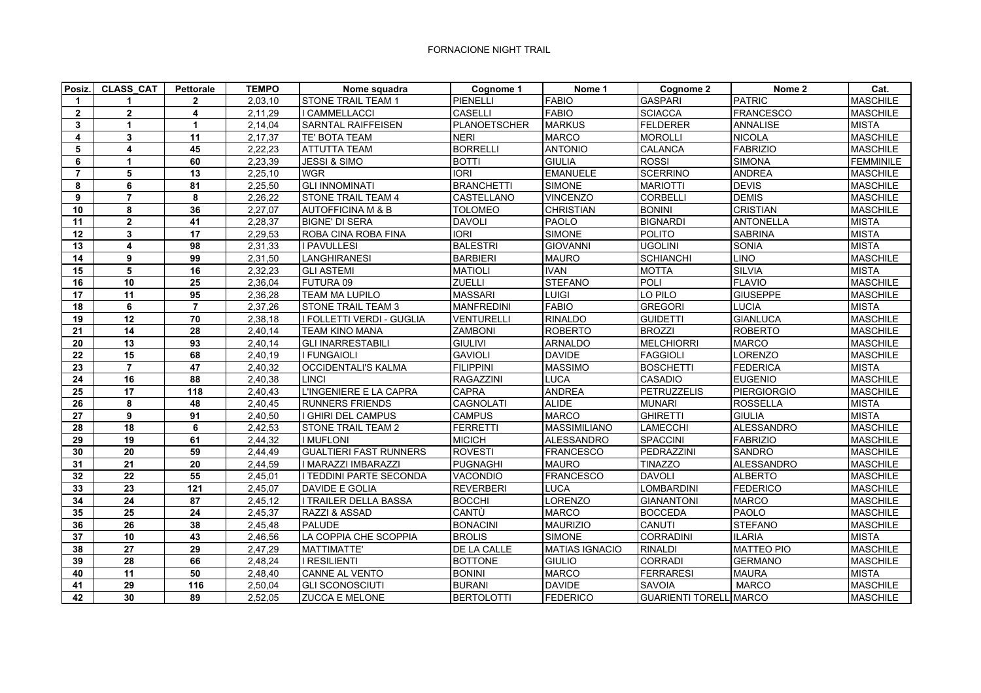## FORNACIONE NIGHT TRAIL

| Posiz.          | <b>CLASS CAT</b> | <b>Pettorale</b>        | <b>TEMPO</b>         | Nome squadra                  | Cognome 1         | Nome 1                | Cognome 2                     | Nome 2             | Cat.             |
|-----------------|------------------|-------------------------|----------------------|-------------------------------|-------------------|-----------------------|-------------------------------|--------------------|------------------|
| $\mathbf 1$     |                  | $\mathbf{2}$            | 2,03,10              | <b>STONE TRAIL TEAM 1</b>     | PIENELLI          | <b>FABIO</b>          | <b>GASPARI</b>                | <b>PATRIC</b>      | <b>MASCHILE</b>  |
| $\overline{2}$  | $\mathbf{2}$     | $\overline{\mathbf{4}}$ | 2,11,29              | I CAMMELLACCI                 | <b>CASELLI</b>    | <b>FABIO</b>          | <b>SCIACCA</b>                | <b>FRANCESCO</b>   | <b>MASCHILE</b>  |
| 3               | $\mathbf{1}$     | 1                       | 2,14,04              | <b>SARNTAL RAIFFEISEN</b>     | PLANOETSCHER      | <b>MARKUS</b>         | <b>FELDERER</b>               | <b>ANNALISE</b>    | <b>MISTA</b>     |
| 4               | $\mathbf{3}$     | 11                      | 2,17,37              | TE' BOTA TEAM                 | <b>NERI</b>       | <b>MARCO</b>          | <b>MOROLLI</b>                | <b>NICOLA</b>      | <b>MASCHILE</b>  |
| 5               | 4                | 45                      | 2,22,23              | <b>ATTUTTA TEAM</b>           | <b>BORRELLI</b>   | <b>ANTONIO</b>        | <b>CALANCA</b>                | <b>FABRIZIO</b>    | <b>MASCHILE</b>  |
| 6               | $\mathbf{1}$     | 60                      | 2,23,39              | JESSI & SIMO                  | <b>BOTTI</b>      | <b>GIULIA</b>         | <b>ROSSI</b>                  | <b>SIMONA</b>      | <b>FEMMINILE</b> |
| $\overline{7}$  | 5                | 13                      | 2,25,10              | <b>WGR</b>                    | <b>IORI</b>       | <b>EMANUELE</b>       | <b>SCERRINO</b>               | <b>ANDREA</b>      | <b>MASCHILE</b>  |
| 8               | 6                | $\overline{81}$         | 2,25,50              | <b>GLI INNOMINATI</b>         | <b>BRANCHETTI</b> | <b>SIMONE</b>         | <b>MARIOTTI</b>               | <b>DEVIS</b>       | <b>MASCHILE</b>  |
| 9               | $\overline{7}$   | 8                       | 2,26,22              | <b>STONE TRAIL TEAM 4</b>     | CASTELLANO        | <b>VINCENZO</b>       | <b>CORBELLI</b>               | <b>DEMIS</b>       | <b>MASCHILE</b>  |
| 10              | 8                | 36                      | 2.27.07              | <b>AUTOFFICINA M &amp; B</b>  | <b>TOLOMEO</b>    | <b>CHRISTIAN</b>      | <b>BONINI</b>                 | <b>CRISTIAN</b>    | <b>MASCHILE</b>  |
| 11              | $\mathbf{2}$     | 41                      | 2,28,37              | <b>BIGNE' DI SERA</b>         | <b>DAVOLI</b>     | <b>PAOLO</b>          | <b>BIGNARDI</b>               | <b>ANTONELLA</b>   | <b>MISTA</b>     |
| 12              | $\mathbf{3}$     | 17                      | 2,29,53              | ROBA CINA ROBA FINA           | <b>IORI</b>       | <b>SIMONE</b>         | POLITO                        | <b>SABRINA</b>     | <b>MISTA</b>     |
| 13              | 4                | 98                      | 2,31,33              | I PAVULLESI                   | <b>BALESTRI</b>   | <b>GIOVANNI</b>       | <b>UGOLINI</b>                | SONIA              | <b>MISTA</b>     |
| 14              | 9                | 99                      | 2,31,50              | <b>LANGHIRANESI</b>           | <b>BARBIERI</b>   | <b>MAURO</b>          | <b>SCHIANCHI</b>              | <b>LINO</b>        | <b>MASCHILE</b>  |
| 15              | 5                | 16                      | 2,32,23              | <b>GLI ASTEMI</b>             | <b>MATIOLI</b>    | <b>IVAN</b>           | <b>MOTTA</b>                  | <b>SILVIA</b>      | <b>MISTA</b>     |
| 16              | 10               | 25                      | 2,36,04              | FUTURA 09                     | <b>ZUELLI</b>     | <b>STEFANO</b>        | POLI                          | <b>FLAVIO</b>      | <b>MASCHILE</b>  |
| 17              | 11               | 95                      | 2,36,28              | <b>TEAM MA LUPILO</b>         | <b>MASSARI</b>    | LUIGI                 | LO PILO                       | <b>GIUSEPPE</b>    | <b>MASCHILE</b>  |
| 18              | 6                | $\overline{7}$          | 2,37,26              | <b>STONE TRAIL TEAM 3</b>     | <b>MANFREDINI</b> | <b>FABIO</b>          | <b>GREGORI</b>                | <b>LUCIA</b>       | <b>MISTA</b>     |
| 19              | 12               | $\overline{70}$         | 2,38,18              | I FOLLETTI VERDI - GUGLIA     | VENTURELLI        | <b>RINALDO</b>        | <b>GUIDETTI</b>               | <b>GIANLUCA</b>    | <b>MASCHILE</b>  |
| 21              | 14               | 28                      | 2,40,14              | <b>TEAM KINO MANA</b>         | <b>ZAMBONI</b>    | <b>ROBERTO</b>        | <b>BROZZI</b>                 | <b>ROBERTO</b>     | <b>MASCHILE</b>  |
| 20              | 13               | 93                      | $\overline{2,}40,14$ | <b>GLI INARRESTABILI</b>      | <b>GIULIVI</b>    | <b>ARNALDO</b>        | <b>MELCHIORRI</b>             | <b>MARCO</b>       | <b>MASCHILE</b>  |
| 22              | 15               | 68                      | 2,40,19              | I FUNGAIOLI                   | <b>GAVIOLI</b>    | <b>DAVIDE</b>         | <b>FAGGIOLI</b>               | LORENZO            | <b>MASCHILE</b>  |
| 23              | $\overline{7}$   | 47                      | 2,40,32              | <b>OCCIDENTALI'S KALMA</b>    | <b>FILIPPINI</b>  | <b>MASSIMO</b>        | <b>BOSCHETTI</b>              | <b>FEDERICA</b>    | <b>MISTA</b>     |
| 24              | 16               | 88                      | 2,40,38              | <b>LINCI</b>                  | <b>RAGAZZINI</b>  | LUCA                  | <b>CASADIO</b>                | <b>EUGENIO</b>     | <b>MASCHILE</b>  |
| $\overline{25}$ | $\overline{17}$  | 118                     | 2,40,43              | L'INGENIERE E LA CAPRA        | CAPRA             | <b>ANDREA</b>         | <b>PETRUZZELIS</b>            | <b>PIERGIORGIO</b> | <b>MASCHILE</b>  |
| 26              | 8                | 48                      | 2,40,45              | <b>RUNNERS FRIENDS</b>        | <b>CAGNOLATI</b>  | <b>ALIDE</b>          | <b>MUNARI</b>                 | <b>ROSSELLA</b>    | <b>MISTA</b>     |
| 27              | 9                | 91                      | 2,40,50              | I GHIRI DEL CAMPUS            | <b>CAMPUS</b>     | <b>MARCO</b>          | <b>GHIRETTI</b>               | <b>GIULIA</b>      | <b>MISTA</b>     |
| 28              | 18               | 6                       | 2,42,53              | <b>STONE TRAIL TEAM 2</b>     | <b>FERRETTI</b>   | <b>MASSIMILIANO</b>   | LAMECCHI                      | <b>ALESSANDRO</b>  | <b>MASCHILE</b>  |
| 29              | 19               | 61                      | 2,44,32              | I MUFLONI                     | <b>MICICH</b>     | <b>ALESSANDRO</b>     | <b>SPACCINI</b>               | <b>FABRIZIO</b>    | <b>MASCHILE</b>  |
| 30              | 20               | 59                      | 2,44,49              | <b>GUALTIERI FAST RUNNERS</b> | <b>ROVESTI</b>    | <b>FRANCESCO</b>      | PEDRAZZINI                    | <b>SANDRO</b>      | <b>MASCHILE</b>  |
| 31              | 21               | 20                      | 2,44,59              | I MARAZZI IMBARAZZI           | <b>PUGNAGHI</b>   | <b>MAURO</b>          | <b>TINAZZO</b>                | ALESSANDRO         | <b>MASCHILE</b>  |
| 32              | 22               | 55                      | 2.45.01              | I TEDDINI PARTE SECONDA       | VACONDIO          | <b>FRANCESCO</b>      | <b>DAVOLI</b>                 | <b>ALBERTO</b>     | <b>MASCHILE</b>  |
| 33              | 23               | 121                     | 2,45,07              | DAVIDE E GOLIA                | <b>REVERBERI</b>  | LUCA                  | LOMBARDINI                    | <b>FEDERICO</b>    | <b>MASCHILE</b>  |
| 34              | 24               | $\overline{87}$         | 2,45,12              | I TRAILER DELLA BASSA         | <b>BOCCHI</b>     | <b>LORENZO</b>        | <b>GIANANTONI</b>             | <b>MARCO</b>       | <b>MASCHILE</b>  |
| 35              | 25               | 24                      | 2,45,37              | RAZZI & ASSAD                 | CANTÙ             | <b>MARCO</b>          | <b>BOCCEDA</b>                | <b>PAOLO</b>       | <b>MASCHILE</b>  |
| 36              | 26               | 38                      | 2,45,48              | <b>PALUDE</b>                 | <b>BONACINI</b>   | <b>MAURIZIO</b>       | <b>CANUTI</b>                 | <b>STEFANO</b>     | <b>MASCHILE</b>  |
| 37              | 10               | 43                      | 2,46,56              | LA COPPIA CHE SCOPPIA         | <b>BROLIS</b>     | <b>SIMONE</b>         | CORRADINI                     | <b>ILARIA</b>      | <b>MISTA</b>     |
| 38              | 27               | 29                      | 2,47,29              | <b>MATTIMATTE'</b>            | DE LA CALLE       | <b>MATIAS IGNACIO</b> | <b>RINALDI</b>                | <b>MATTEO PIO</b>  | <b>MASCHILE</b>  |
| 39              | 28               | 66                      | 2.48.24              | I RESILIENTI                  | <b>BOTTONE</b>    | <b>GIULIO</b>         | <b>CORRADI</b>                | <b>GERMANO</b>     | <b>MASCHILE</b>  |
| 40              | 11               | 50                      | 2,48,40              | <b>CANNE AL VENTO</b>         | <b>BONINI</b>     | <b>MARCO</b>          | <b>FERRARESI</b>              | <b>MAURA</b>       | <b>MISTA</b>     |
| 41              | $\overline{29}$  | 116                     | 2.50.04              | <b>GLI SCONOSCIUTI</b>        | <b>BURANI</b>     | <b>DAVIDE</b>         | <b>SAVOIA</b>                 | <b>MARCO</b>       | <b>MASCHILE</b>  |
| 42              | 30               | 89                      | 2,52,05              | <b>ZUCCA E MELONE</b>         | <b>BERTOLOTTI</b> | <b>FEDERICO</b>       | <b>GUARIENTI TORELLIMARCO</b> |                    | <b>MASCHILE</b>  |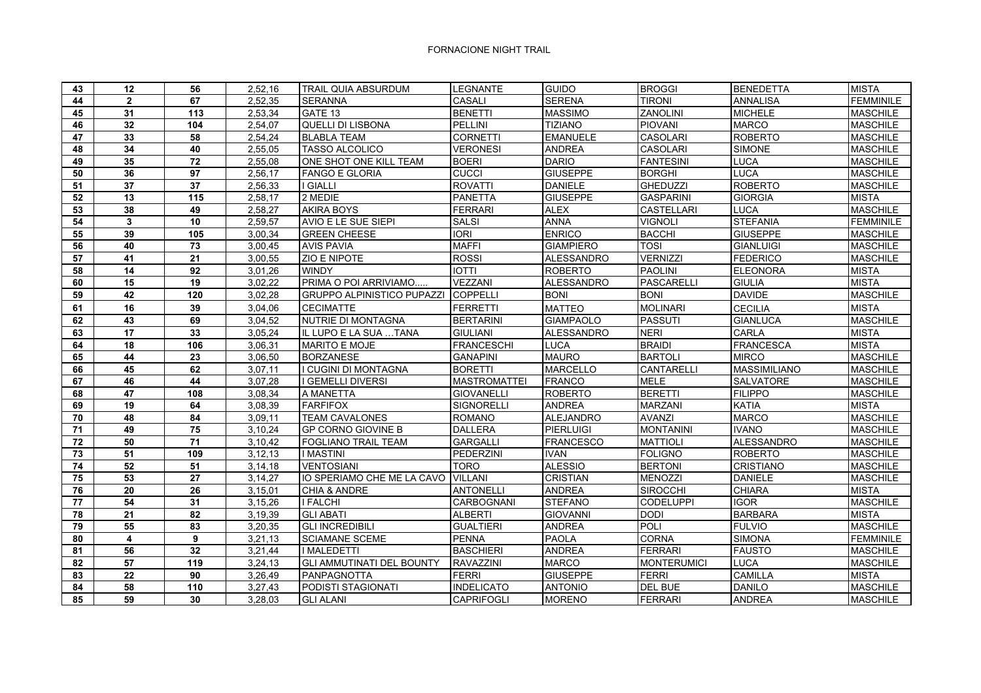## FORNACIONE NIGHT TRAIL

| 43              | 12                      | 56              | 2,52,16   | TRAIL QUIA ABSURDUM               | LEGNANTE            | <b>GUIDO</b>      | <b>BROGGI</b>      | <b>BENEDETTA</b>    | <b>MISTA</b>     |
|-----------------|-------------------------|-----------------|-----------|-----------------------------------|---------------------|-------------------|--------------------|---------------------|------------------|
| 44              | $\overline{2}$          | 67              | 2,52,35   | <b>SERANNA</b>                    | CASALI              | <b>SERENA</b>     | <b>TIRONI</b>      | <b>ANNALISA</b>     | <b>FEMMINILE</b> |
| 45              | 31                      | 113             | 2,53,34   | GATE 13                           | <b>BENETTI</b>      | <b>MASSIMO</b>    | <b>ZANOLINI</b>    | <b>MICHELE</b>      | <b>MASCHILE</b>  |
| 46              | 32                      | 104             | 2,54,07   | <b>QUELLI DI LISBONA</b>          | PELLINI             | <b>TIZIANO</b>    | <b>PIOVANI</b>     | <b>MARCO</b>        | <b>MASCHILE</b>  |
| 47              | 33                      | 58              | 2,54,24   | <b>BLABLA TEAM</b>                | <b>CORNETTI</b>     | <b>EMANUELE</b>   | CASOLARI           | <b>ROBERTO</b>      | <b>MASCHILE</b>  |
| 48              | 34                      | 40              | 2,55,05   | <b>TASSO ALCOLICO</b>             | <b>VERONESI</b>     | <b>ANDREA</b>     | <b>CASOLARI</b>    | <b>SIMONE</b>       | <b>MASCHILE</b>  |
| 49              | 35                      | 72              | 2,55,08   | ONE SHOT ONE KILL TEAM            | <b>BOERI</b>        | <b>DARIO</b>      | <b>FANTESINI</b>   | <b>LUCA</b>         | <b>MASCHILE</b>  |
| 50              | 36                      | $\overline{97}$ | 2,56,17   | <b>FANGO E GLORIA</b>             | CUCCI               | <b>GIUSEPPE</b>   | <b>BORGHI</b>      | <b>LUCA</b>         | <b>MASCHILE</b>  |
| 51              | 37                      | 37              | 2,56,33   | I GIALLI                          | <b>ROVATTI</b>      | <b>DANIELE</b>    | <b>GHEDUZZI</b>    | <b>ROBERTO</b>      | <b>MASCHILE</b>  |
| 52              | 13                      | 115             | 2,58,17   | 2 MEDIE                           | <b>PANETTA</b>      | <b>GIUSEPPE</b>   | <b>GASPARINI</b>   | <b>GIORGIA</b>      | <b>MISTA</b>     |
| 53              | 38                      | 49              | 2,58,27   | <b>AKIRA BOYS</b>                 | <b>FERRARI</b>      | <b>ALEX</b>       | <b>CASTELLARI</b>  | <b>LUCA</b>         | <b>MASCHILE</b>  |
| 54              | $\mathbf{3}$            | 10              | 2,59,57   | AVIO E LE SUE SIEPI               | <b>SALSI</b>        | <b>ANNA</b>       | <b>VIGNOLI</b>     | <b>STEFANIA</b>     | <b>FEMMINILE</b> |
| 55              | 39                      | 105             | 3,00,34   | <b>GREEN CHEESE</b>               | $\overline{ORI}$    | <b>ENRICO</b>     | <b>BACCHI</b>      | <b>GIUSEPPE</b>     | <b>MASCHILE</b>  |
| 56              | 40                      | 73              | 3,00,45   | <b>AVIS PAVIA</b>                 | <b>MAFFI</b>        | <b>GIAMPIERO</b>  | <b>TOSI</b>        | <b>GIANLUIGI</b>    | <b>MASCHILE</b>  |
| 57              | 41                      | 21              | 3,00,55   | <b>ZIO E NIPOTE</b>               | <b>ROSSI</b>        | <b>ALESSANDRO</b> | <b>VERNIZZI</b>    | <b>FEDERICO</b>     | <b>MASCHILE</b>  |
| 58              | 14                      | 92              | 3,01,26   | <b>WINDY</b>                      | <b>IOTTI</b>        | <b>ROBERTO</b>    | <b>PAOLINI</b>     | <b>ELEONORA</b>     | <b>MISTA</b>     |
| 60              | 15                      | 19              | 3,02,22   | PRIMA O POI ARRIVIAMO             | VEZZANI             | <b>ALESSANDRO</b> | <b>PASCARELLI</b>  | <b>GIULIA</b>       | <b>MISTA</b>     |
| 59              | 42                      | $\frac{1}{120}$ | 3,02,28   | <b>GRUPPO ALPINISTICO PUPAZZI</b> | COPPELLI            | <b>BONI</b>       | <b>BONI</b>        | <b>DAVIDE</b>       | <b>MASCHILE</b>  |
| 61              | 16                      | 39              | 3,04,06   | <b>CECIMATTE</b>                  | <b>FERRETTI</b>     | <b>MATTEO</b>     | <b>MOLINARI</b>    | <b>CECILIA</b>      | <b>MISTA</b>     |
| 62              | 43                      | 69              | 3,04,52   | <b>NUTRIE DI MONTAGNA</b>         | <b>BERTARINI</b>    | <b>GIAMPAOLO</b>  | <b>PASSUTI</b>     | <b>GIANLUCA</b>     | <b>MASCHILE</b>  |
| 63              | 17                      | 33              | 3,05,24   | IL LUPO E LA SUA TANA             | <b>GIULIANI</b>     | <b>ALESSANDRO</b> | <b>NERI</b>        | <b>CARLA</b>        | <b>MISTA</b>     |
| 64              | 18                      | 106             | 3,06,31   | <b>MARITO E MOJE</b>              | <b>FRANCESCHI</b>   | <b>LUCA</b>       | <b>BRAIDI</b>      | <b>FRANCESCA</b>    | <b>MISTA</b>     |
| 65              | 44                      | 23              | 3,06,50   | <b>BORZANESE</b>                  | <b>GANAPINI</b>     | <b>MAURO</b>      | <b>BARTOLI</b>     | <b>MIRCO</b>        | <b>MASCHILE</b>  |
| 66              | 45                      | 62              | 3,07,11   | I CUGINI DI MONTAGNA              | <b>BORETTI</b>      | <b>MARCELLO</b>   | CANTARELLI         | <b>MASSIMILIANO</b> | <b>MASCHILE</b>  |
| 67              | 46                      | 44              | 3,07,28   | I GEMELLI DIVERSI                 | <b>MASTROMATTEI</b> | <b>FRANCO</b>     | <b>MELE</b>        | <b>SALVATORE</b>    | <b>MASCHILE</b>  |
| 68              | 47                      | 108             | 3,08,34   | A MANETTA                         | <b>GIOVANELLI</b>   | <b>ROBERTO</b>    | <b>BERETTI</b>     | <b>FILIPPO</b>      | <b>MASCHILE</b>  |
| 69              | 19                      | 64              | 3,08,39   | <b>FARFIFOX</b>                   | SIGNORELLI          | <b>ANDREA</b>     | <b>MARZANI</b>     | <b>KATIA</b>        | <b>MISTA</b>     |
| 70              | 48                      | 84              | 3,09,11   | <b>TEAM CAVALONES</b>             | <b>ROMANO</b>       | <b>ALEJANDRO</b>  | <b>AVANZI</b>      | <b>MARCO</b>        | <b>MASCHILE</b>  |
| 71              | 49                      | 75              | 3,10,24   | <b>GP CORNO GIOVINE B</b>         | <b>DALLERA</b>      | PIERLUIGI         | <b>MONTANINI</b>   | <b>IVANO</b>        | <b>MASCHILE</b>  |
| 72              | 50                      | 71              | 3,10,42   | <b>FOGLIANO TRAIL TEAM</b>        | <b>GARGALLI</b>     | <b>FRANCESCO</b>  | <b>MATTIOLI</b>    | <b>ALESSANDRO</b>   | <b>MASCHILE</b>  |
| 73              | 51                      | 109             | 3, 12, 13 | <b>I MASTINI</b>                  | PEDERZINI           | <b>IVAN</b>       | <b>FOLIGNO</b>     | <b>ROBERTO</b>      | <b>MASCHILE</b>  |
| 74              | 52                      | 51              | 3, 14, 18 | <b>VENTOSIANI</b>                 | <b>TORO</b>         | <b>ALESSIO</b>    | <b>BERTONI</b>     | <b>CRISTIANO</b>    | <b>MASCHILE</b>  |
| 75              | $\overline{53}$         | $\overline{27}$ | 3,14,27   | IO SPERIAMO CHE ME LA CAVO        | <b>VILLANI</b>      | <b>CRISTIAN</b>   | <b>MENOZZI</b>     | <b>DANIELE</b>      | <b>MASCHILE</b>  |
| 76              | 20                      | 26              | 3,15,01   | CHIA & ANDRE                      | <b>ANTONELLI</b>    | <b>ANDREA</b>     | <b>SIROCCHI</b>    | <b>CHIARA</b>       | <b>MISTA</b>     |
| $\overline{77}$ | 54                      | $\overline{31}$ | 3,15,26   | <b>I FALCHI</b>                   | CARBOGNANI          | <b>STEFANO</b>    | CODELUPPI          | <b>IGOR</b>         | <b>MASCHILE</b>  |
| 78              | 21                      | 82              | 3,19,39   | <b>GLI ABATI</b>                  | <b>ALBERTI</b>      | <b>GIOVANNI</b>   | <b>DODI</b>        | <b>BARBARA</b>      | <b>MISTA</b>     |
| 79              | 55                      | $\overline{83}$ | 3,20,35   | <b>GLI INCREDIBILI</b>            | <b>GUALTIERI</b>    | <b>ANDREA</b>     | POLI               | <b>FULVIO</b>       | <b>MASCHILE</b>  |
| 80              | $\overline{\mathbf{4}}$ | 9               | 3,21,13   | <b>SCIAMANE SCEME</b>             | <b>PENNA</b>        | <b>PAOLA</b>      | <b>CORNA</b>       | <b>SIMONA</b>       | <b>FEMMINILE</b> |
| 81              | 56                      | 32              | 3,21,44   | <b>I MALEDETTI</b>                | <b>BASCHIERI</b>    | <b>ANDREA</b>     | <b>FERRARI</b>     | <b>FAUSTO</b>       | <b>MASCHILE</b>  |
| 82              | 57                      | 119             | 3,24,13   | <b>GLI AMMUTINATI DEL BOUNTY</b>  | RAVAZZINI           | <b>MARCO</b>      | <b>MONTERUMICI</b> | <b>LUCA</b>         | <b>MASCHILE</b>  |
| 83              | 22                      | 90              | 3,26,49   | <b>PANPAGNOTTA</b>                | <b>FERRI</b>        | <b>GIUSEPPE</b>   | <b>FERRI</b>       | <b>CAMILLA</b>      | <b>MISTA</b>     |
| 84              | 58                      | 110             | 3,27,43   | PODISTI STAGIONATI                | <b>INDELICATO</b>   | <b>ANTONIO</b>    | DEL BUE            | <b>DANILO</b>       | MASCHILE         |
| 85              | 59                      | 30              | 3,28,03   | <b>GLI ALANI</b>                  | CAPRIFOGLI          | <b>MORENO</b>     | <b>FERRARI</b>     | <b>ANDREA</b>       | <b>MASCHILE</b>  |